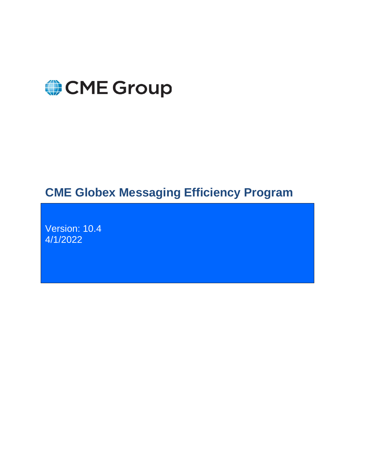

# **CME Globex Messaging Efficiency Program**

Version: 10.4 4/1/2022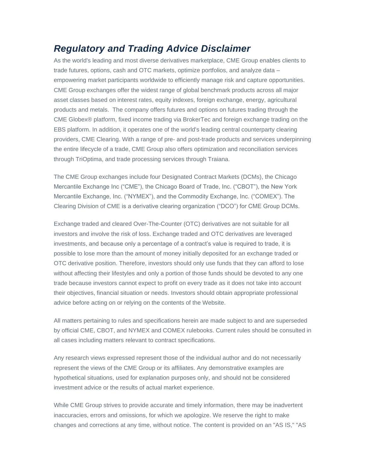#### <span id="page-1-0"></span>*Regulatory and Trading Advice Disclaimer*

As the world's leading and most diverse derivatives marketplace, CME Group enables clients to trade futures, options, cash and OTC markets, optimize portfolios, and analyze data – empowering market participants worldwide to efficiently manage risk and capture opportunities. CME Group exchanges offer the widest range of global benchmark products across all major asset classes based on interest rates, equity indexes, foreign exchange, energy, agricultural products and metals. The company offers futures and options on futures trading through the CME Globex® platform, fixed income trading via BrokerTec and foreign exchange trading on the EBS platform. In addition, it operates one of the world's leading central counterparty clearing providers, CME Clearing. With a range of pre- and post-trade products and services underpinning the entire lifecycle of a trade, CME Group also offers optimization and reconciliation services through TriOptima, and trade processing services through Traiana.

The CME Group exchanges include four Designated Contract Markets (DCMs), the Chicago Mercantile Exchange Inc ("CME"), the Chicago Board of Trade, Inc. ("CBOT"), the New York Mercantile Exchange, Inc. ("NYMEX"), and the Commodity Exchange, Inc. ("COMEX"). The Clearing Division of CME is a derivative clearing organization ("DCO") for CME Group DCMs.

Exchange traded and cleared Over-The-Counter (OTC) derivatives are not suitable for all investors and involve the risk of loss. Exchange traded and OTC derivatives are leveraged investments, and because only a percentage of a contract's value is required to trade, it is possible to lose more than the amount of money initially deposited for an exchange traded or OTC derivative position. Therefore, investors should only use funds that they can afford to lose without affecting their lifestyles and only a portion of those funds should be devoted to any one trade because investors cannot expect to profit on every trade as it does not take into account their objectives, financial situation or needs. Investors should obtain appropriate professional advice before acting on or relying on the contents of the Website.

All matters pertaining to rules and specifications herein are made subject to and are superseded by official CME, CBOT, and NYMEX and COMEX rulebooks. Current rules should be consulted in all cases including matters relevant to contract specifications.

Any research views expressed represent those of the individual author and do not necessarily represent the views of the CME Group or its affiliates. Any demonstrative examples are hypothetical situations, used for explanation purposes only, and should not be considered investment advice or the results of actual market experience.

While CME Group strives to provide accurate and timely information, there may be inadvertent inaccuracies, errors and omissions, for which we apologize. We reserve the right to make changes and corrections at any time, without notice. The content is provided on an "AS IS," "AS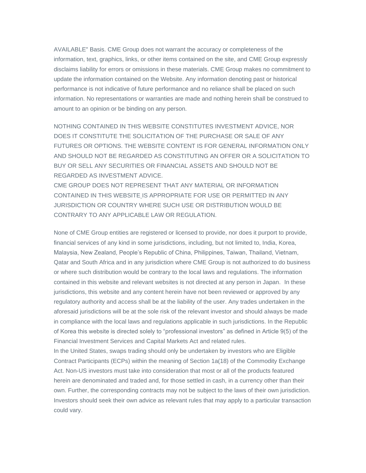AVAILABLE" Basis. CME Group does not warrant the accuracy or completeness of the information, text, graphics, links, or other items contained on the site, and CME Group expressly disclaims liability for errors or omissions in these materials. CME Group makes no commitment to update the information contained on the Website. Any information denoting past or historical performance is not indicative of future performance and no reliance shall be placed on such information. No representations or warranties are made and nothing herein shall be construed to amount to an opinion or be binding on any person.

NOTHING CONTAINED IN THIS WEBSITE CONSTITUTES INVESTMENT ADVICE, NOR DOES IT CONSTITUTE THE SOLICITATION OF THE PURCHASE OR SALE OF ANY FUTURES OR OPTIONS. THE WEBSITE CONTENT IS FOR GENERAL INFORMATION ONLY AND SHOULD NOT BE REGARDED AS CONSTITUTING AN OFFER OR A SOLICITATION TO BUY OR SELL ANY SECURITIES OR FINANCIAL ASSETS AND SHOULD NOT BE REGARDED AS INVESTMENT ADVICE.

CME GROUP DOES NOT REPRESENT THAT ANY MATERIAL OR INFORMATION CONTAINED IN THIS WEBSITE IS APPROPRIATE FOR USE OR PERMITTED IN ANY JURISDICTION OR COUNTRY WHERE SUCH USE OR DISTRIBUTION WOULD BE CONTRARY TO ANY APPLICABLE LAW OR REGULATION.

None of CME Group entities are registered or licensed to provide, nor does it purport to provide, financial services of any kind in some jurisdictions, including, but not limited to, India, Korea, Malaysia, New Zealand, People's Republic of China, Philippines, Taiwan, Thailand, Vietnam, Qatar and South Africa and in any jurisdiction where CME Group is not authorized to do business or where such distribution would be contrary to the local laws and regulations. The information contained in this website and relevant websites is not directed at any person in Japan. In these jurisdictions, this website and any content herein have not been reviewed or approved by any regulatory authority and access shall be at the liability of the user. Any trades undertaken in the aforesaid jurisdictions will be at the sole risk of the relevant investor and should always be made in compliance with the local laws and regulations applicable in such jurisdictions. In the Republic of Korea this website is directed solely to "professional investors" as defined in Article 9(5) of the Financial Investment Services and Capital Markets Act and related rules.

In the United States, swaps trading should only be undertaken by investors who are Eligible Contract Participants (ECPs) within the meaning of Section 1a(18) of the Commodity Exchange Act. Non-US investors must take into consideration that most or all of the products featured herein are denominated and traded and, for those settled in cash, in a currency other than their own. Further, the corresponding contracts may not be subject to the laws of their own jurisdiction. Investors should seek their own advice as relevant rules that may apply to a particular transaction could vary.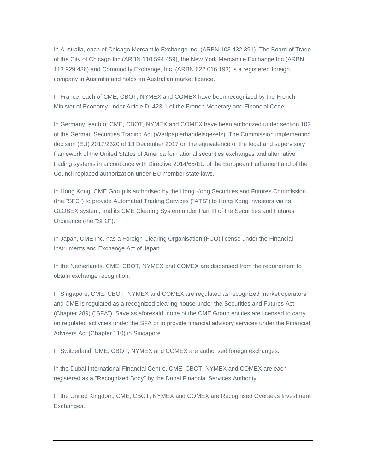In Australia, each of Chicago Mercantile Exchange Inc. (ARBN 103 432 391), The Board of Trade of the City of Chicago Inc (ARBN 110 594 459), the New York Mercantile Exchange Inc (ARBN 113 929 436) and Commodity Exchange, Inc. (ARBN 622 016 193) is a registered foreign company in Australia and holds an Australian market licence.

In France, each of CME, CBOT, NYMEX and COMEX have been recognized by the French Minister of Economy under Article D. 423-1 of the French Monetary and Financial Code.

In Germany, each of CME, CBOT, NYMEX and COMEX have been authorized under section 102 of the German Securities Trading Act (Wertpapierhandelsgesetz). The Commission implementing decision (EU) 2017/2320 of 13 December 2017 on the equivalence of the legal and supervisory framework of the United States of America for national securities exchanges and alternative trading systems in accordance with Directive 2014/65/EU of the European Parliament and of the Council replaced authorization under EU member state laws.

In Hong Kong, CME Group is authorised by the Hong Kong Securities and Futures Commission (the "SFC") to provide Automated Trading Services ("ATS") to Hong Kong investors via its GLOBEX system, and its CME Clearing System under Part III of the Securities and Futures Ordinance (the "SFO").

In Japan, CME Inc. has a Foreign Clearing Organisation (FCO) license under the Financial Instruments and Exchange Act of Japan.

In the Netherlands, CME, CBOT, NYMEX and COMEX are dispensed from the requirement to obtain exchange recognition.

In Singapore, CME, CBOT, NYMEX and COMEX are regulated as recognized market operators and CME is regulated as a recognized clearing house under the Securities and Futures Act (Chapter 289) ("SFA"). Save as aforesaid, none of the CME Group entities are licensed to carry on regulated activities under the SFA or to provide financial advisory services under the Financial Advisers Act (Chapter 110) in Singapore.

In Switzerland, CME, CBOT, NYMEX and COMEX are authorised foreign exchanges.

In the Dubai International Financial Centre, CME, CBOT, NYMEX and COMEX are each registered as a "Recognized Body" by the Dubai Financial Services Authority.

In the United Kingdom, CME, CBOT, NYMEX and COMEX are Recognised Overseas Investment Exchanges.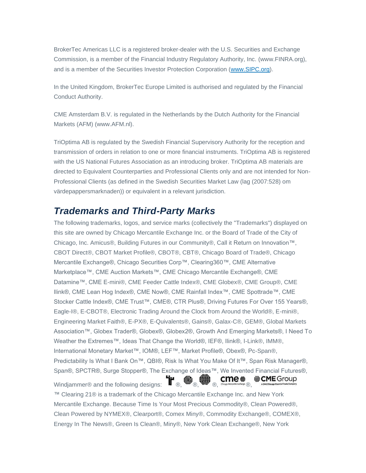BrokerTec Americas LLC is a registered broker-dealer with the U.S. Securities and Exchange Commission, is a member of the Financial Industry Regulatory Authority, Inc. (www.FINRA.org), and is a member of the Securities Investor Protection Corporation [\(www.SIPC.org\)](http://www.sipc.org/).

In the United Kingdom, BrokerTec Europe Limited is authorised and regulated by the Financial Conduct Authority.

CME Amsterdam B.V. is regulated in the Netherlands by the Dutch Authority for the Financial Markets (AFM) (www.AFM.nl).

TriOptima AB is regulated by the Swedish Financial Supervisory Authority for the reception and transmission of orders in relation to one or more financial instruments. TriOptima AB is registered with the US National Futures Association as an introducing broker. TriOptima AB materials are directed to Equivalent Counterparties and Professional Clients only and are not intended for Non-Professional Clients (as defined in the Swedish Securities Market Law (lag (2007:528) om värdepappersmarknaden)) or equivalent in a relevant jurisdiction.

#### <span id="page-4-0"></span>*Trademarks and Third-Party Marks*

The following trademarks, logos, and service marks (collectively the "Trademarks") displayed on this site are owned by Chicago Mercantile Exchange Inc. or the Board of Trade of the City of Chicago, Inc. Amicus®, Building Futures in our Community®, Call it Return on Innovation™, CBOT Direct®, CBOT Market Profile®, CBOT®, CBT®, Chicago Board of Trade®, Chicago Mercantile Exchange®, Chicago Securities Corp™, Clearing360™, CME Alternative Marketplace™, CME Auction Markets™, CME Chicago Mercantile Exchange®, CME Datamine™, CME E-mini®, CME Feeder Cattle Index®, CME Globex®, CME Group®, CME Ilink®, CME Lean Hog Index®, CME Now®, CME Rainfall Index™, CME Spottrade™, CME Stocker Cattle Index®, CME Trust™, CME®, CTR Plus®, Driving Futures For Over 155 Years®, Eagle-I®, E-CBOT®, Electronic Trading Around the Clock from Around the World®, E-mini®, Engineering Market Faith®, E-PX®, E-Quivalents®, Gains®, Galax-C®, GEM®, Global Markets Association™, Globex Trader®, Globex®, Globex2®, Growth And Emerging Markets®, I Need To Weather the Extremes™, Ideas That Change the World®, IEF®, Ilink®, I-Link®, IMM®, International Monetary Market™, IOM®, LEF™, Market Profile®, Obex®, Pc-Span®, Predictability Is What I Bank On™, QBI®, Risk Is What You Make Of It™, Span Risk Manager®, Span®, SPCTR®, Surge Stopper®, The Exchange of Ideas™, We Invented Financial Futures®, Windjammer® and the following designs:  $\Pi$ <sub>®,</sub>  $\bullet$ <sub>®,</sub>  $\bullet$ <sub>®,</sub>  $\bullet$  **cme**  $\bullet$ **ACME** Group ™ Clearing 21® is a trademark of the Chicago Mercantile Exchange Inc. and New York Mercantile Exchange. Because Time Is Your Most Precious Commodity®, Clean Powered®, Clean Powered by NYMEX®, Clearport®, Comex Miny®, Commodity Exchange®, COMEX®, Energy In The News®, Green Is Clean®, Miny®, New York Clean Exchange®, New York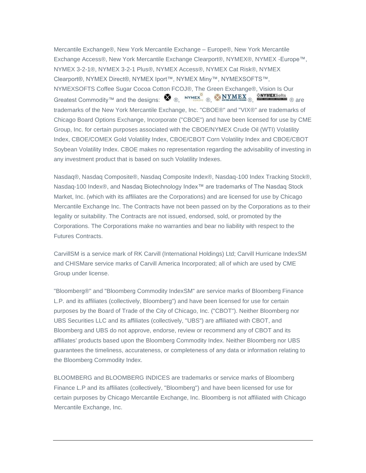Mercantile Exchange®, New York Mercantile Exchange – Europe®, New York Mercantile Exchange Access®, New York Mercantile Exchange Clearport®, NYMEX®, NYMEX -Europe™, NYMEX 3-2-1®, NYMEX 3-2-1 Plus®, NYMEX Access®, NYMEX Cat Risk®, NYMEX Clearport®, NYMEX Direct®, NYMEX Iport™, NYMEX Miny™, NYMEXSOFTS™, NYMEXSOFTS Coffee Sugar Cocoa Cotton FCOJ®, The Green Exchange®, Vision Is Our Greatest Commodity™ and the designs: ®, ®, ®, ® are trademarks of the New York Mercantile Exchange, Inc. "CBOE®" and "VIX®" are trademarks of Chicago Board Options Exchange, Incorporate ("CBOE") and have been licensed for use by CME Group, Inc. for certain purposes associated with the CBOE/NYMEX Crude Oil (WTI) Volatility Index, CBOE/COMEX Gold Volatility Index, CBOE/CBOT Corn Volatility Index and CBOE/CBOT Soybean Volatility Index. CBOE makes no representation regarding the advisability of investing in any investment product that is based on such Volatility Indexes.

Nasdaq®, Nasdaq Composite®, Nasdaq Composite Index®, Nasdaq-100 Index Tracking Stock®, Nasdaq-100 Index®, and Nasdaq Biotechnology Index™ are trademarks of The Nasdaq Stock Market, Inc. (which with its affiliates are the Corporations) and are licensed for use by Chicago Mercantile Exchange Inc. The Contracts have not been passed on by the Corporations as to their legality or suitability. The Contracts are not issued, endorsed, sold, or promoted by the Corporations. The Corporations make no warranties and bear no liability with respect to the Futures Contracts.

CarvillSM is a service mark of RK Carvill (International Holdings) Ltd; Carvill Hurricane IndexSM and CHISMare service marks of Carvill America Incorporated; all of which are used by CME Group under license.

"Bloomberg®" and "Bloomberg Commodity IndexSM" are service marks of Bloomberg Finance L.P. and its affiliates (collectively, Bloomberg") and have been licensed for use for certain purposes by the Board of Trade of the City of Chicago, Inc. ("CBOT"). Neither Bloomberg nor UBS Securities LLC and its affiliates (collectively, "UBS") are affiliated with CBOT, and Bloomberg and UBS do not approve, endorse, review or recommend any of CBOT and its affiliates' products based upon the Bloomberg Commodity Index. Neither Bloomberg nor UBS guarantees the timeliness, accurateness, or completeness of any data or information relating to the Bloomberg Commodity Index.

BLOOMBERG and BLOOMBERG INDICES are trademarks or service marks of Bloomberg Finance L.P and its affiliates (collectively, "Bloomberg") and have been licensed for use for certain purposes by Chicago Mercantile Exchange, Inc. Bloomberg is not affiliated with Chicago Mercantile Exchange, Inc.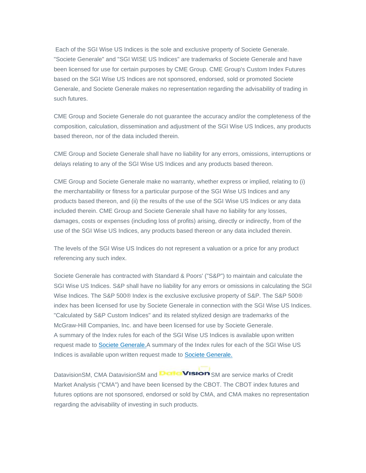Each of the SGI Wise US Indices is the sole and exclusive property of Societe Generale. "Societe Generale" and "SGI WISE US Indices" are trademarks of Societe Generale and have been licensed for use for certain purposes by CME Group. CME Group's Custom Index Futures based on the SGI Wise US Indices are not sponsored, endorsed, sold or promoted Societe Generale, and Societe Generale makes no representation regarding the advisability of trading in such futures.

CME Group and Societe Generale do not guarantee the accuracy and/or the completeness of the composition, calculation, dissemination and adjustment of the SGI Wise US Indices, any products based thereon, nor of the data included therein.

CME Group and Societe Generale shall have no liability for any errors, omissions, interruptions or delays relating to any of the SGI Wise US Indices and any products based thereon.

CME Group and Societe Generale make no warranty, whether express or implied, relating to (i) the merchantability or fitness for a particular purpose of the SGI Wise US Indices and any products based thereon, and (ii) the results of the use of the SGI Wise US Indices or any data included therein. CME Group and Societe Generale shall have no liability for any losses, damages, costs or expenses (including loss of profits) arising, directly or indirectly, from of the use of the SGI Wise US Indices, any products based thereon or any data included therein.

The levels of the SGI Wise US Indices do not represent a valuation or a price for any product referencing any such index.

Societe Generale has contracted with Standard & Poors' ("S&P") to maintain and calculate the SGI Wise US Indices. S&P shall have no liability for any errors or omissions in calculating the SGI Wise Indices. The S&P 500® Index is the exclusive exclusive property of S&P. The S&P 500® index has been licensed for use by Societe Generale in connection with the SGI Wise US Indices. "Calculated by S&P Custom Indices" and its related stylized design are trademarks of the McGraw-Hill Companies, Inc. and have been licensed for use by Societe Generale. A summary of the Index rules for each of the SGI Wise US Indices is available upon written request made to **Societe Generale.**A summary of the Index rules for each of the SGI Wise US Indices is available upon written request made to Societe [Generale.](https://www.sg-structuredproducts.com/advantagetoregister)

DatavisionSM, CMA DatavisionSM and **Details Vision** SM are service marks of Credit Market Analysis ("CMA") and have been licensed by the CBOT. The CBOT index futures and futures options are not sponsored, endorsed or sold by CMA, and CMA makes no representation regarding the advisability of investing in such products.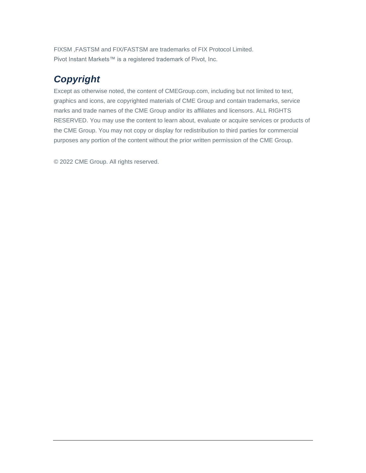FIXSM ,FASTSM and FIX/FASTSM are trademarks of FIX Protocol Limited. Pivot Instant Markets™ is a registered trademark of Pivot, Inc.

# <span id="page-7-0"></span>*Copyright*

Except as otherwise noted, the content of CMEGroup.com, including but not limited to text, graphics and icons, are copyrighted materials of CME Group and contain trademarks, service marks and trade names of the CME Group and/or its affiliates and licensors. ALL RIGHTS RESERVED. You may use the content to learn about, evaluate or acquire services or products of the CME Group. You may not copy or display for redistribution to third parties for commercial purposes any portion of the content without the prior written permission of the CME Group.

© 2022 CME Group. All rights reserved.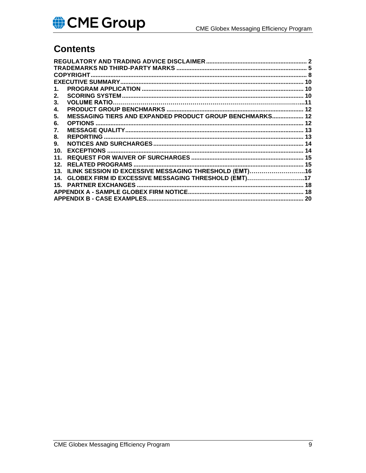### **Contents**

| 1.              |                                                          |    |
|-----------------|----------------------------------------------------------|----|
| $2_{-}$         |                                                          |    |
| 3.              |                                                          |    |
| 4.              |                                                          |    |
| 5.              | MESSAGING TIERS AND EXPANDED PRODUCT GROUP BENCHMARKS 12 |    |
| 6.              |                                                          |    |
| 7.              |                                                          |    |
| 8.              |                                                          |    |
| 9.              |                                                          |    |
| 10 <sub>1</sub> |                                                          |    |
| 11.             |                                                          |    |
| 12.             |                                                          |    |
| 13 <sub>1</sub> | ILINK SESSION ID EXCESSIVE MESSAGING THRESHOLD (EMT)16   |    |
| 14 <sub>1</sub> | GLOBEX FIRM ID EXCESSIVE MESSAGING THRESHOLD (EMT)17     |    |
| 15.             |                                                          |    |
|                 |                                                          |    |
|                 | <b>APPENDIX B - CASE EXAMPLES</b>                        | 20 |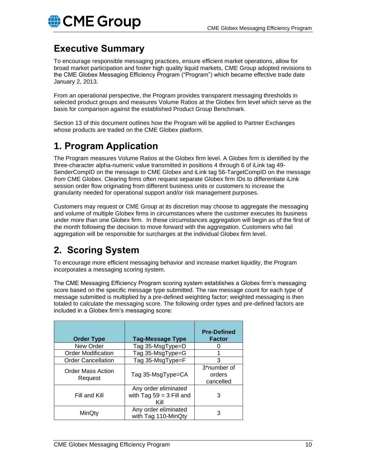### <span id="page-9-0"></span>**Executive Summary**

To encourage responsible messaging practices, ensure efficient market operations, allow for broad market participation and foster high quality liquid markets, CME Group adopted revisions to the CME Globex Messaging Efficiency Program ("Program") which became effective trade date January 2, 2013.

From an operational perspective, the Program provides transparent messaging thresholds in selected product groups and measures Volume Ratios at the Globex firm level which serve as the basis for comparison against the established Product Group Benchmark.

Section 13 of this document outlines how the Program will be applied to Partner Exchanges whose products are traded on the CME Globex platform.

# <span id="page-9-1"></span>**1. Program Application**

The Program measures Volume Ratios at the Globex firm level. A Globex firm is identified by the three-character alpha-numeric value transmitted in positions 4 through 6 of iLink tag 49- SenderCompID on the message *to* CME Globex and iLink tag 56-TargetCompID on the message *from* CME Globex. Clearing firms often request separate Globex firm IDs to differentiate iLink session order flow originating from different business units or customers to increase the granularity needed for operational support and/or risk management purposes.

Customers may request or CME Group at its discretion may choose to aggregate the messaging and volume of multiple Globex firms in circumstances where the customer executes its business under more than one Globex firm. In these circumstances aggregation will begin as of the first of the month following the decision to move forward with the aggregation. Customers who fail aggregation will be responsible for surcharges at the individual Globex firm level.

# <span id="page-9-2"></span>**2. Scoring System**

To encourage more efficient messaging behavior and increase market liquidity, the Program incorporates a messaging scoring system.

The CME Messaging Efficiency Program scoring system establishes a Globex firm's messaging score based on the specific message type submitted. The raw message count for each type of message submitted is multiplied by a pre-defined weighting factor; weighted messaging is then totaled to calculate the messaging score. The following order types and pre-defined factors are included in a Globex firm's messaging score:

| <b>Order Type</b>                   | <b>Tag-Message Type</b>                                    | <b>Pre-Defined</b><br><b>Factor</b> |
|-------------------------------------|------------------------------------------------------------|-------------------------------------|
| New Order                           | Tag 35-MsgType=D                                           |                                     |
| <b>Order Modification</b>           | Tag 35-MsgType=G                                           |                                     |
| <b>Order Cancellation</b>           | Tag 35-MsgType=F                                           | 3                                   |
| <b>Order Mass Action</b><br>Request | Tag 35-MsgType=CA                                          | 3*number of<br>orders<br>cancelled  |
| Fill and Kill                       | Any order eliminated<br>with Tag $59 = 3$ Fill and<br>Kill | 3                                   |
| MinQty                              | Any order eliminated<br>with Tag 110-MinQty                | З                                   |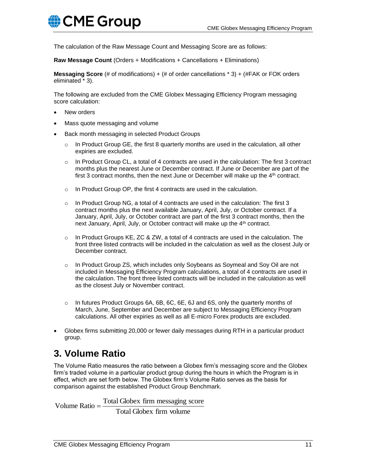The calculation of the Raw Message Count and Messaging Score are as follows:

**Raw Message Count** (Orders + Modifications + Cancellations + Eliminations)

**Messaging Score** (# of modifications) + (# of order cancellations \* 3) + (#FAK or FOK orders eliminated \* 3).

The following are excluded from the CME Globex Messaging Efficiency Program messaging score calculation:

- New orders
- Mass quote messaging and volume
- Back month messaging in selected Product Groups
	- $\circ$  In Product Group GE, the first 8 quarterly months are used in the calculation, all other expiries are excluded.
	- $\circ$  In Product Group CL, a total of 4 contracts are used in the calculation: The first 3 contract months plus the nearest June or December contract. If June or December are part of the first 3 contract months, then the next June or December will make up the  $4<sup>th</sup>$  contract.
	- $\circ$  In Product Group OP, the first 4 contracts are used in the calculation.
	- $\circ$  In Product Group NG, a total of 4 contracts are used in the calculation: The first 3 contract months plus the next available January, April, July, or October contract. If a January, April, July, or October contract are part of the first 3 contract months, then the next January, April, July, or October contract will make up the 4<sup>th</sup> contract.
	- $\circ$  In Product Groups KE, ZC & ZW, a total of 4 contracts are used in the calculation. The front three listed contracts will be included in the calculation as well as the closest July or December contract.
	- $\circ$  In Product Group ZS, which includes only Soybeans as Soymeal and Soy Oil are not included in Messaging Efficiency Program calculations, a total of 4 contracts are used in the calculation. The front three listed contracts will be included in the calculation as well as the closest July or November contract.
	- $\circ$  In futures Product Groups 6A, 6B, 6C, 6E, 6J and 6S, only the quarterly months of March, June, September and December are subject to Messaging Efficiency Program calculations. All other expiries as well as all E-micro Forex products are excluded.
- Globex firms submitting 20,000 or fewer daily messages during RTH in a particular product group.

### **3. Volume Ratio**

The Volume Ratio measures the ratio between a Globex firm's messaging score and the Globex firm's traded volume in a particular product group during the hours in which the Program is in effect, which are set forth below. The Globex firm's Volume Ratio serves as the basis for comparison against the established Product Group Benchmark.

Total Globex firm volume Volume Ratio  $=$   $\frac{\text{Total Globex firm} \text{ message score}}{}$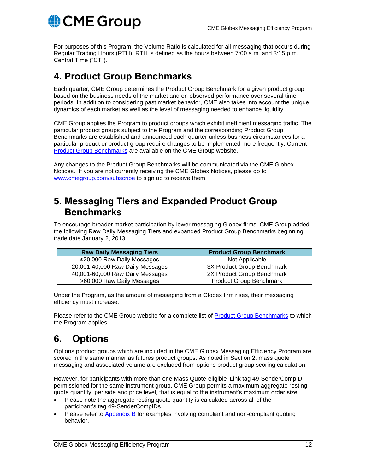For purposes of this Program, the Volume Ratio is calculated for all messaging that occurs during Regular Trading Hours (RTH). RTH is defined as the hours between 7:00 a.m. and 3:15 p.m. Central Time ("CT").

### <span id="page-11-0"></span>**4. Product Group Benchmarks**

Each quarter, CME Group determines the Product Group Benchmark for a given product group based on the business needs of the market and on observed performance over several time periods. In addition to considering past market behavior, CME also takes into account the unique dynamics of each market as well as the level of messaging needed to enhance liquidity.

CME Group applies the Program to product groups which exhibit inefficient messaging traffic. The particular product groups subject to the Program and the corresponding Product Group Benchmarks are established and announced each quarter unless business circumstances for a particular product or product group require changes to be implemented more frequently. Current **[Product Group Benchmarks](https://www.cmegroup.com/globex/files/revisedmepbenchmarks.pdf)** are available on the CME Group website.

Any changes to the Product Group Benchmarks will be communicated via the CME Globex Notices. If you are not currently receiving the CME Globex Notices, please go to [www.cmegroup.com/subscribe](http://www.cmegroup.com/subscribe) to sign up to receive them.

#### <span id="page-11-1"></span>**5. Messaging Tiers and Expanded Product Group Benchmarks**

To encourage broader market participation by lower messaging Globex firms, CME Group added the following Raw Daily Messaging Tiers and expanded Product Group Benchmarks beginning trade date January 2, 2013.

| <b>Raw Daily Messaging Tiers</b> | <b>Product Group Benchmark</b> |
|----------------------------------|--------------------------------|
| ≤20,000 Raw Daily Messages       | Not Applicable                 |
| 20,001-40,000 Raw Daily Messages | 3X Product Group Benchmark     |
| 40,001-60,000 Raw Daily Messages | 2X Product Group Benchmark     |
| >60,000 Raw Daily Messages       | <b>Product Group Benchmark</b> |

Under the Program, as the amount of messaging from a Globex firm rises, their messaging efficiency must increase.

Please refer to the CME Group website for a complete list of [Product Group Benchmarks](https://www.cmegroup.com/globex/files/revisedmepbenchmarks.pdf) to which the Program applies.

# <span id="page-11-2"></span>**6. Options**

Options product groups which are included in the CME Globex Messaging Efficiency Program are scored in the same manner as futures product groups. As noted in Section 2, mass quote messaging and associated volume are excluded from options product group scoring calculation.

However, for participants with more than one Mass Quote-eligible iLink tag 49-SenderCompID permissioned for the same instrument group, CME Group permits a maximum aggregate resting quote quantity, per side and price level, that is equal to the instrument's maximum order size.

- Please note the aggregate resting quote quantity is calculated across all of the participant's tag 49-SenderCompIDs.
- Please refer to  $\Delta$ ppendix  $\overline{B}$  for examples involving compliant and non-compliant quoting behavior.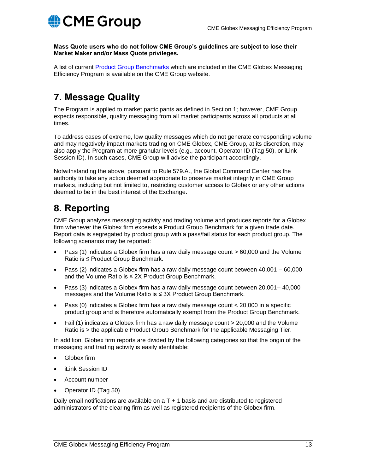**Mass Quote users who do not follow CME Group's guidelines are subject to lose their Market Maker and/or Mass Quote privileges.**

A list of current [Product Group Benchmarks](https://www.cmegroup.com/globex/files/revisedmepbenchmarks.pdf) which are included in the CME Globex Messaging Efficiency Program is available on the CME Group website.

# <span id="page-12-0"></span>**7. Message Quality**

The Program is applied to market participants as defined in Section 1; however, CME Group expects responsible, quality messaging from all market participants across all products at all times.

To address cases of extreme, low quality messages which do not generate corresponding volume and may negatively impact markets trading on CME Globex, CME Group, at its discretion, may also apply the Program at more granular levels (e.g., account, Operator ID (Tag 50), or iLink Session ID). In such cases, CME Group will advise the participant accordingly.

Notwithstanding the above, pursuant to Rule 579.A., the Global Command Center has the authority to take any action deemed appropriate to preserve market integrity in CME Group markets, including but not limited to, restricting customer access to Globex or any other actions deemed to be in the best interest of the Exchange.

# <span id="page-12-1"></span>**8. Reporting**

CME Group analyzes messaging activity and trading volume and produces reports for a Globex firm whenever the Globex firm exceeds a Product Group Benchmark for a given trade date. Report data is segregated by product group with a pass/fail status for each product group. The following scenarios may be reported:

- Pass (1) indicates a Globex firm has a raw daily message count > 60,000 and the Volume Ratio is ≤ Product Group Benchmark.
- Pass (2) indicates a Globex firm has a raw daily message count between 40,001 60,000 and the Volume Ratio is ≤ 2X Product Group Benchmark.
- Pass (3) indicates a Globex firm has a raw daily message count between 20,001– 40,000 messages and the Volume Ratio is ≤ 3X Product Group Benchmark.
- Pass (0) indicates a Globex firm has a raw daily message count < 20,000 in a specific product group and is therefore automatically exempt from the Product Group Benchmark.
- Fail (1) indicates a Globex firm has a raw daily message count > 20,000 and the Volume Ratio is > the applicable Product Group Benchmark for the applicable Messaging Tier.

In addition, Globex firm reports are divided by the following categories so that the origin of the messaging and trading activity is easily identifiable:

- Globex firm
- iLink Session ID
- Account number
- Operator ID (Tag 50)

Daily email notifications are available on  $aT + 1$  basis and are distributed to registered administrators of the clearing firm as well as registered recipients of the Globex firm.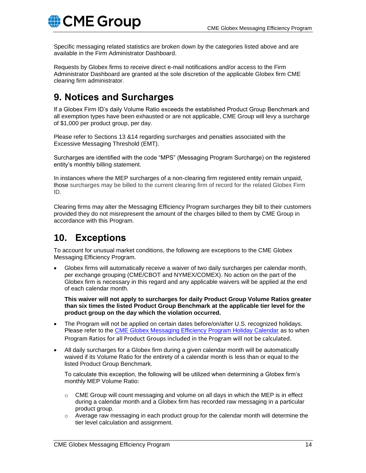**CME Group** 

Specific messaging related statistics are broken down by the categories listed above and are available in the Firm Administrator Dashboard.

Requests by Globex firms to receive direct e-mail notifications and/or access to the Firm Administrator Dashboard are granted at the sole discretion of the applicable Globex firm CME clearing firm administrator.

# <span id="page-13-0"></span>**9. Notices and Surcharges**

If a Globex Firm ID's daily Volume Ratio exceeds the established Product Group Benchmark and all exemption types have been exhausted or are not applicable, CME Group will levy a surcharge of \$1,000 per product group, per day.

Please refer to Sections 13 &14 regarding surcharges and penalties associated with the Excessive Messaging Threshold (EMT).

Surcharges are identified with the code "MPS" (Messaging Program Surcharge) on the registered entity's monthly billing statement.

In instances where the MEP surcharges of a non-clearing firm registered entity remain unpaid, those surcharges may be billed to the current clearing firm of record for the related Globex Firm ID.

Clearing firms may alter the Messaging Efficiency Program surcharges they bill to their customers provided they do not misrepresent the amount of the charges billed to them by CME Group in accordance with this Program.

### <span id="page-13-1"></span>**10. Exceptions**

To account for unusual market conditions, the following are exceptions to the CME Globex Messaging Efficiency Program.

• Globex firms will automatically receive a waiver of two daily surcharges per calendar month, per exchange grouping (CME/CBOT and NYMEX/COMEX). No action on the part of the Globex firm is necessary in this regard and any applicable waivers will be applied at the end of each calendar month.

**This waiver will not apply to surcharges for daily Product Group Volume Ratios greater than six times the listed Product Group Benchmark at the applicable tier level for the product group on the day which the violation occurred.**

- The Program will not be applied on certain dates before/on/after U.S. recognized holidays. Please refer to the [CME Globex Messaging Efficiency Program Holiday Calendar](https://www.cmegroup.com/globex/files/mepholidaycalendar.pdf) as to when Program Ratios for all Product Groups included in the Program will not be calculated.
- All daily surcharges for a Globex firm during a given calendar month will be automatically waived if its Volume Ratio for the entirety of a calendar month is less than or equal to the listed Product Group Benchmark.

To calculate this exception, the following will be utilized when determining a Globex firm's monthly MEP Volume Ratio:

- $\circ$  CME Group will count messaging and volume on all days in which the MEP is in effect during a calendar month and a Globex firm has recorded raw messaging in a particular product group.
- $\circ$  Average raw messaging in each product group for the calendar month will determine the tier level calculation and assignment.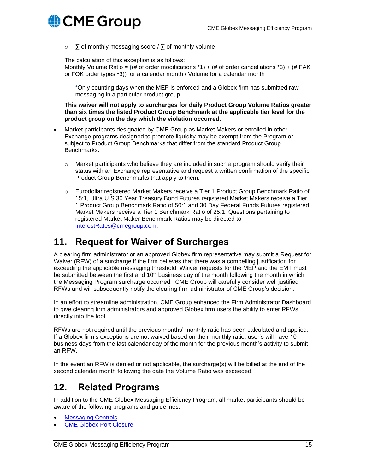

o ∑ of monthly messaging score / ∑ of monthly volume

The calculation of this exception is as follows:

Monthly Volume Ratio = **(**(# of order modifications \*1) + (# of order cancellations \*3) + (# FAK or FOK order types \*3)) for a calendar month / Volume for a calendar month

\*Only counting days when the MEP is enforced and a Globex firm has submitted raw messaging in a particular product group.

**This waiver will not apply to surcharges for daily Product Group Volume Ratios greater than six times the listed Product Group Benchmark at the applicable tier level for the product group on the day which the violation occurred.**

- Market participants designated by CME Group as Market Makers or enrolled in other Exchange programs designed to promote liquidity may be exempt from the Program or subject to Product Group Benchmarks that differ from the standard Product Group Benchmarks.
	- $\circ$  Market participants who believe they are included in such a program should verify their status with an Exchange representative and request a written confirmation of the specific Product Group Benchmarks that apply to them.
	- $\circ$  Eurodollar registered Market Makers receive a Tier 1 Product Group Benchmark Ratio of 15:1, Ultra U.S.30 Year Treasury Bond Futures registered Market Makers receive a Tier 1 Product Group Benchmark Ratio of 50:1 and 30 Day Federal Funds Futures registered Market Makers receive a Tier 1 Benchmark Ratio of 25:1. Questions pertaining to registered Market Maker Benchmark Ratios may be directed to [InterestRates@cmegroup.com.](mailto:InterestRates@cmegroup.com)

### <span id="page-14-0"></span>**11. Request for Waiver of Surcharges**

A clearing firm administrator or an approved Globex firm representative may submit a Request for Waiver (RFW) of a surcharge if the firm believes that there was a compelling justification for exceeding the applicable messaging threshold. Waiver requests for the MEP and the EMT must be submitted between the first and  $10<sup>th</sup>$  business day of the month following the month in which the Messaging Program surcharge occurred. CME Group will carefully consider well justified RFWs and will subsequently notify the clearing firm administrator of CME Group's decision.

In an effort to streamline administration, CME Group enhanced the Firm Administrator Dashboard to give clearing firm administrators and approved Globex firm users the ability to enter RFWs directly into the tool.

RFWs are not required until the previous months' monthly ratio has been calculated and applied. If a Globex firm's exceptions are not waived based on their monthly ratio, user's will have 10 business days from the last calendar day of the month for the previous month's activity to submit an RFW.

In the event an RFW is denied or not applicable, the surcharge(s) will be billed at the end of the second calendar month following the date the Volume Ratio was exceeded.

### <span id="page-14-1"></span>**12. Related Programs**

In addition to the CME Globex Messaging Efficiency Program, all market participants should be aware of the following programs and guidelines:

- **[Messaging Controls](http://www.cmegroup.com/confluence/display/EPICSANDBOX/Messaging+Controls)**
- **[CME Globex Port Closure](http://www.cmegroup.com/globex/developing-to-cme-globex/portclosure-faq.html)**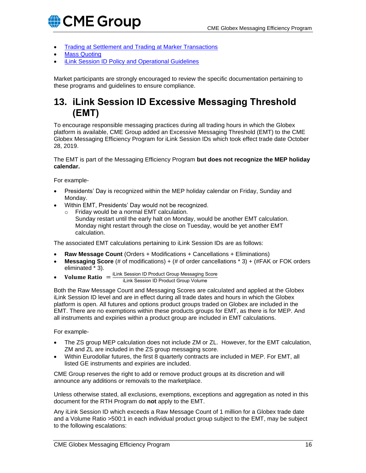

- [Trading at Settlement and Trading at Marker Transactions](https://www.cmegroup.com/rulebook/files/cme-group-Rule-524.pdf)
- **[Mass Quoting](http://www.cmegroup.com/confluence/display/EPICSANDBOX/Mass+Quotes)**
- [iLink Session ID Policy and Operational Guidelines](http://www.cmegroup.com/globex/files/iLinkSessionIDPolicy.pdf)

Market participants are strongly encouraged to review the specific documentation pertaining to these programs and guidelines to ensure compliance.

#### <span id="page-15-0"></span>**13. iLink Session ID Excessive Messaging Threshold (EMT)**

To encourage responsible messaging practices during all trading hours in which the Globex platform is available, CME Group added an Excessive Messaging Threshold (EMT) to the CME Globex Messaging Efficiency Program for iLink Session IDs which took effect trade date October 28, 2019.

The EMT is part of the Messaging Efficiency Program **but does not recognize the MEP holiday calendar.**

For example-

- Presidents' Day is recognized within the MEP holiday calendar on Friday, Sunday and Monday.
- Within EMT, Presidents' Day would not be recognized.
	- o Friday would be a normal EMT calculation. Sunday restart until the early halt on Monday, would be another EMT calculation. Monday night restart through the close on Tuesday, would be yet another EMT calculation.

The associated EMT calculations pertaining to iLink Session IDs are as follows:

- **Raw Message Count** (Orders + Modifications + Cancellations + Eliminations)
- **Messaging Score** (# of modifications) + (# of order cancellations \* 3) + (#FAK or FOK orders eliminated \* 3).
- **Volume Ratio**  $=$   $\frac{L \text{link Session ID Product Group Message Score}}{L \text{ likelihood ID Product Group Volume}}$ iLink Session ID Product Group Volume

Both the Raw Message Count and Messaging Scores are calculated and applied at the Globex iLink Session ID level and are in effect during all trade dates and hours in which the Globex platform is open. All futures and options product groups traded on Globex are included in the EMT. There are no exemptions within these products groups for EMT, as there is for MEP. And all instruments and expiries within a product group are included in EMT calculations.

For example-

- The ZS group MEP calculation does not include ZM or ZL. However, for the EMT calculation, ZM and ZL are included in the ZS group messaging score.
- Within Eurodollar futures, the first 8 quarterly contracts are included in MEP. For EMT, all listed GE instruments and expiries are included.

CME Group reserves the right to add or remove product groups at its discretion and will announce any additions or removals to the marketplace.

Unless otherwise stated, all exclusions, exemptions, exceptions and aggregation as noted in this document for the RTH Program do **not** apply to the EMT.

Any iLink Session ID which exceeds a Raw Message Count of 1 million for a Globex trade date and a Volume Ratio >500:1 in each individual product group subject to the EMT, may be subject to the following escalations: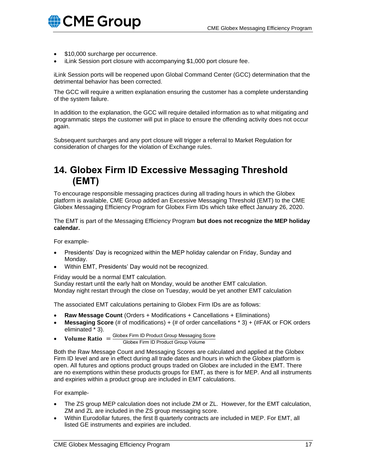

- \$10,000 surcharge per occurrence.
- iLink Session port closure with accompanying \$1,000 port closure fee.

iLink Session ports will be reopened upon Global Command Center (GCC) determination that the detrimental behavior has been corrected.

The GCC will require a written explanation ensuring the customer has a complete understanding of the system failure.

In addition to the explanation, the GCC will require detailed information as to what mitigating and programmatic steps the customer will put in place to ensure the offending activity does not occur again.

Subsequent surcharges and any port closure will trigger a referral to Market Regulation for consideration of charges for the violation of Exchange rules.

### <span id="page-16-0"></span>**14. Globex Firm ID Excessive Messaging Threshold (EMT)**

To encourage responsible messaging practices during all trading hours in which the Globex platform is available, CME Group added an Excessive Messaging Threshold (EMT) to the CME Globex Messaging Efficiency Program for Globex Firm IDs which take effect January 26, 2020.

The EMT is part of the Messaging Efficiency Program **but does not recognize the MEP holiday calendar.**

For example-

- Presidents' Day is recognized within the MEP holiday calendar on Friday, Sunday and Monday.
- Within EMT, Presidents' Day would not be recognized.

Friday would be a normal EMT calculation.

Sunday restart until the early halt on Monday, would be another EMT calculation. Monday night restart through the close on Tuesday, would be yet another EMT calculation

The associated EMT calculations pertaining to Globex Firm IDs are as follows:

- **Raw Message Count** (Orders + Modifications + Cancellations + Eliminations)
- **Messaging Score** (# of modifications) + (# of order cancellations \* 3) + (#FAK or FOK orders eliminated \* 3).
- Volume Ratio  $=$   $\frac{\text{Globex Firm ID Product Group Message Score}}{\text{Clobex Firm ID Product Group Volume}}$ Globex Firm ID Product Group Volume

Both the Raw Message Count and Messaging Scores are calculated and applied at the Globex Firm ID level and are in effect during all trade dates and hours in which the Globex platform is open. All futures and options product groups traded on Globex are included in the EMT. There are no exemptions within these products groups for EMT, as there is for MEP. And all instruments and expiries within a product group are included in EMT calculations.

For example-

- The ZS group MEP calculation does not include ZM or ZL. However, for the EMT calculation, ZM and ZL are included in the ZS group messaging score.
- Within Eurodollar futures, the first 8 quarterly contracts are included in MEP. For EMT, all listed GE instruments and expiries are included.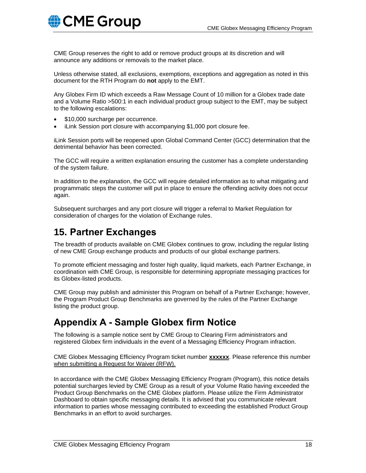

CME Group reserves the right to add or remove product groups at its discretion and will announce any additions or removals to the market place.

Unless otherwise stated, all exclusions, exemptions, exceptions and aggregation as noted in this document for the RTH Program do **not** apply to the EMT.

Any Globex Firm ID which exceeds a Raw Message Count of 10 million for a Globex trade date and a Volume Ratio >500:1 in each individual product group subject to the EMT, may be subject to the following escalations:

- \$10,000 surcharge per occurrence.
- iLink Session port closure with accompanying \$1,000 port closure fee.

iLink Session ports will be reopened upon Global Command Center (GCC) determination that the detrimental behavior has been corrected.

The GCC will require a written explanation ensuring the customer has a complete understanding of the system failure.

In addition to the explanation, the GCC will require detailed information as to what mitigating and programmatic steps the customer will put in place to ensure the offending activity does not occur again.

Subsequent surcharges and any port closure will trigger a referral to Market Regulation for consideration of charges for the violation of Exchange rules.

#### <span id="page-17-0"></span>**15. Partner Exchanges**

The breadth of products available on CME Globex continues to grow, including the regular listing of new CME Group exchange products and products of our global exchange partners.

To promote efficient messaging and foster high quality, liquid markets, each Partner Exchange, in coordination with CME Group, is responsible for determining appropriate messaging practices for its Globex-listed products.

CME Group may publish and administer this Program on behalf of a Partner Exchange; however, the Program Product Group Benchmarks are governed by the rules of the Partner Exchange listing the product group.

### <span id="page-17-1"></span>**Appendix A - Sample Globex firm Notice**

The following is a sample notice sent by CME Group to Clearing Firm administrators and registered Globex firm individuals in the event of a Messaging Efficiency Program infraction.

CME Globex Messaging Efficiency Program ticket number **xxxxxx**. Please reference this number when submitting a Request for Waiver (RFW).

In accordance with the CME Globex Messaging Efficiency Program (Program), this notice details potential surcharges levied by CME Group as a result of your Volume Ratio having exceeded the Product Group Benchmarks on the CME Globex platform. Please utilize the Firm Administrator Dashboard to obtain specific messaging details. It is advised that you communicate relevant information to parties whose messaging contributed to exceeding the established Product Group Benchmarks in an effort to avoid surcharges.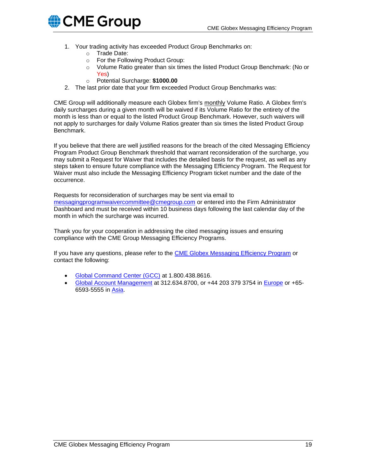

- 1. Your trading activity has exceeded Product Group Benchmarks on:
	- o Trade Date:
	- o For the Following Product Group:
	- o Volume Ratio greater than six times the listed Product Group Benchmark: (No or Yes)
	- o Potential Surcharge: **\$1000.00**
- 2. The last prior date that your firm exceeded Product Group Benchmarks was:

CME Group will additionally measure each Globex firm's monthly Volume Ratio. A Globex firm's daily surcharges during a given month will be waived if its Volume Ratio for the entirety of the month is less than or equal to the listed Product Group Benchmark. However, such waivers will not apply to surcharges for daily Volume Ratios greater than six times the listed Product Group Benchmark.

If you believe that there are well justified reasons for the breach of the cited Messaging Efficiency Program Product Group Benchmark threshold that warrant reconsideration of the surcharge, you may submit a Request for Waiver that includes the detailed basis for the request, as well as any steps taken to ensure future compliance with the Messaging Efficiency Program. The Request for Waiver must also include the Messaging Efficiency Program ticket number and the date of the occurrence.

Requests for reconsideration of surcharges may be sent via email to [messagingprogramwaivercommittee@cmegroup.com](mailto:messagingprogramwaivercommittee@cmegroup.com) or entered into the Firm Administrator Dashboard and must be received within 10 business days following the last calendar day of the month in which the surcharge was incurred.

Thank you for your cooperation in addressing the cited messaging issues and ensuring compliance with the CME Group Messaging Efficiency Programs.

If you have any questions, please refer to the **CME Globex Messaging Efficiency Program** or contact the following:

- [Global Command Center \(GCC\)](mailto:messagingpolicysupport@cmegroup.com) at 1.800.438.8616.
- [Global Account Management](mailto:globexaccountmanagement@cmegroup.com) at 312.634.8700, or +44 203 379 3754 in [Europe](mailto:GAMEMEA@cmegroup.com) or +65- 6593-5555 in [Asia.](mailto:GAMASIA@cmegroup.com)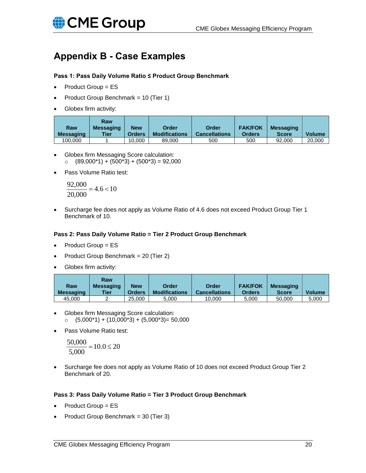

## <span id="page-19-0"></span>**Appendix B - Case Examples**

#### **Pass 1: Pass Daily Volume Ratio ≤ Product Group Benchmark**

- Product Group = ES
- Product Group Benchmark = 10 (Tier 1)
- Globex firm activity:

| Raw<br><b>Messaging</b> | Raw<br><b>Messaging</b><br><b>Tier</b> | <b>New</b><br><b>Orders</b> | Order<br><b>Modifications</b> | Order<br><b>Cancellations</b> | <b>FAK/FOK</b><br><b>Orders</b> | <b>Messaging</b><br><b>Score</b> | <b>Volume</b> |
|-------------------------|----------------------------------------|-----------------------------|-------------------------------|-------------------------------|---------------------------------|----------------------------------|---------------|
| 100.000                 |                                        | 10.000                      | 89,000                        | 500                           | 500                             | 92,000                           | 20,000        |

- Globex firm Messaging Score calculation:  $\circ$  (89,000\*1) + (500\*3) + (500\*3) = 92,000
- Pass Volume Ratio test:

 $4.6 < 10$ 20,000  $\frac{92,000}{20,000} = 4.6 <$ 

• Surcharge fee does not apply as Volume Ratio of 4.6 does not exceed Product Group Tier 1 Benchmark of 10.

#### **Pass 2: Pass Daily Volume Ratio = Tier 2 Product Group Benchmark**

- Product Group = ES
- Product Group Benchmark = 20 (Tier 2)
- Globex firm activity:

| Raw<br><b>Messaging</b> | Raw<br><b>Messaging</b><br>Tier | <b>New</b><br><b>Orders</b> | Order<br><b>Modifications</b> | Order<br><b>Cancellations</b> | <b>FAK/FOK</b><br><b>Orders</b> | <b>Messaging</b><br><b>Score</b> | <b>Volume</b> |
|-------------------------|---------------------------------|-----------------------------|-------------------------------|-------------------------------|---------------------------------|----------------------------------|---------------|
| 45.000                  | _                               | 25,000                      | 5.000                         | 10.000                        | 5.000                           | 50,000                           | 5,000         |

- Globex firm Messaging Score calculation:  $\circ$  (5,000\*1) + (10,000\*3) + (5,000\*3) = 50,000
- Pass Volume Ratio test:

$$
\frac{50,000}{5,000} = 10.0 \le 20
$$

• Surcharge fee does not apply as Volume Ratio of 10 does not exceed Product Group Tier 2 Benchmark of 20.

#### **Pass 3: Pass Daily Volume Ratio = Tier 3 Product Group Benchmark**

- Product Group = ES
- Product Group Benchmark = 30 (Tier 3)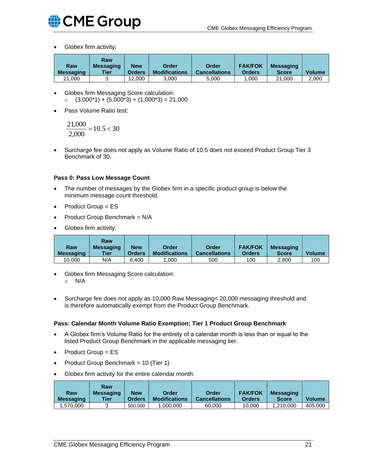

• Globex firm activity:

|                         | Raw                      |                             |                               |                               |                          |                                  |               |
|-------------------------|--------------------------|-----------------------------|-------------------------------|-------------------------------|--------------------------|----------------------------------|---------------|
| Raw<br><b>Messaging</b> | <b>Messaging</b><br>Tier | <b>New</b><br><b>Orders</b> | Order<br><b>Modifications</b> | Order<br><b>Cancellations</b> | <b>FAK/FOK</b><br>Orders | <b>Messaging</b><br><b>Score</b> | <b>Volume</b> |
| 21.000                  | ັ                        | 12.000                      | 3.000                         | 5.000                         | .000                     | 21,000                           | 2.000         |

- Globex firm Messaging Score calculation:  $\circ$  (3,000\*1) + (5,000\*3) + (1,000\*3) = 21,000
- Pass Volume Ratio test:

$$
\frac{21,000}{2,000} = 10.5 < 30
$$

• Surcharge fee does not apply as Volume Ratio of 10.5 does not exceed Product Group Tier 3 Benchmark of 30.

#### **Pass 0: Pass Low Message Count**

- The number of messages by the Globex firm in a specific product group is below the minimum message count threshold.
- Product Group = ES
- Product Group Benchmark = N/A
- Globex firm activity:

| Raw<br><b>Messaging</b> | Raw<br><b>Messaging</b><br>Tier | <b>New</b><br><b>Orders</b> | Order<br><b>Modifications</b> | <b>Order</b><br><b>Cancellations</b> | <b>FAK/FOK</b><br><b>Orders</b> | <b>Messaging</b><br><b>Score</b> | <b>Volume</b> |
|-------------------------|---------------------------------|-----------------------------|-------------------------------|--------------------------------------|---------------------------------|----------------------------------|---------------|
| 10.000                  | N/A                             | 8.400                       | .000                          | 500                                  | 100                             | 2.800                            | 100           |

- Globex firm Messaging Score calculation: o N/A
- Surcharge fee does not apply as 10,000 Raw Messaging< 20,000 messaging threshold and is therefore automatically exempt from the Product Group Benchmark.

#### **Pass: Calendar Month Volume Ratio Exemption; Tier 1 Product Group Benchmark**

- A Globex firm's Volume Ratio for the entirety of a calendar month is less than or equal to the listed Product Group Benchmark in the applicable messaging tier.
- Product Group = ES
- Product Group Benchmark = 10 (Tier 1)
- Globex firm activity for the entire calendar month:

|                  | Raw              |               |                      |                      |                |                  |               |
|------------------|------------------|---------------|----------------------|----------------------|----------------|------------------|---------------|
| Raw              | <b>Messaging</b> | <b>New</b>    | Order                | Order                | <b>FAK/FOK</b> | <b>Messaging</b> |               |
| <b>Messaging</b> | Tier             | <b>Orders</b> | <b>Modifications</b> | <b>Cancellations</b> | <b>Orders</b>  | <b>Score</b>     | <b>Volume</b> |
| .570.000         |                  | 500,000       | .000.000             | 60,000               | 10.000         | 1.210.000        | 405.000       |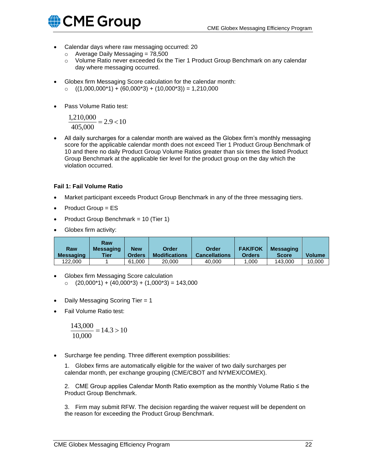

- Calendar days where raw messaging occurred: 20
	- $\circ$  Average Daily Messaging = 78,500
	- $\circ$  Volume Ratio never exceeded 6x the Tier 1 Product Group Benchmark on any calendar day where messaging occurred.
- Globex firm Messaging Score calculation for the calendar month:
	- $(1,000,000^*) + (60,000^*) + (10,000^*) = 1,210,000$
- Pass Volume Ratio test:

$$
\frac{1,210,000}{405,000} = 2.9 < 10
$$

• All daily surcharges for a calendar month are waived as the Globex firm's monthly messaging score for the applicable calendar month does not exceed Tier 1 Product Group Benchmark of 10 and there no daily Product Group Volume Ratios greater than six times the listed Product Group Benchmark at the applicable tier level for the product group on the day which the violation occurred.

#### **Fail 1: Fail Volume Ratio**

- Market participant exceeds Product Group Benchmark in any of the three messaging tiers.
- Product Group = ES
- Product Group Benchmark = 10 (Tier 1)
- Globex firm activity:

| <b>Raw</b><br><b>Messaging</b> | Raw<br><b>Messaging</b><br><b>Tier</b> | <b>New</b><br><b>Orders</b> | Order<br><b>Modifications</b> | Order<br><b>Cancellations</b> | <b>FAK/FOK</b><br><b>Orders</b> | <b>Messaging</b><br><b>Score</b> | <b>Volume</b> |
|--------------------------------|----------------------------------------|-----------------------------|-------------------------------|-------------------------------|---------------------------------|----------------------------------|---------------|
| 122.000                        |                                        | 61.000                      | 20,000                        | 40.000                        | .000                            | 143,000                          | 10.000        |

- Globex firm Messaging Score calculation  $O (20,000<sup>*</sup>1) + (40,000<sup>*</sup>3) + (1,000<sup>*</sup>3) = 143,000$
- Daily Messaging Scoring Tier = 1
- Fail Volume Ratio test:

$$
\frac{143,000}{10,000} = 14.3 > 10
$$

• Surcharge fee pending. Three different exemption possibilities:

1. Globex firms are automatically eligible for the waiver of two daily surcharges per calendar month, per exchange grouping (CME/CBOT and NYMEX/COMEX).

2. CME Group applies Calendar Month Ratio exemption as the monthly Volume Ratio ≤ the Product Group Benchmark.

<span id="page-21-0"></span>3. Firm may submit RFW. The decision regarding the waiver request will be dependent on the reason for exceeding the Product Group Benchmark.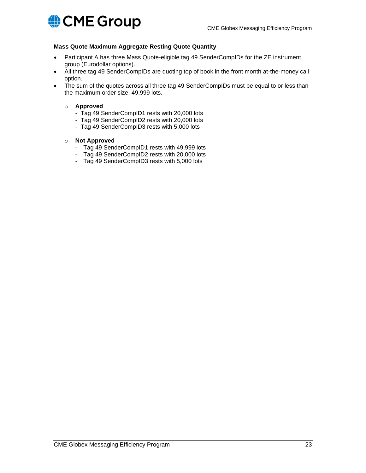#### **Mass Quote Maximum Aggregate Resting Quote Quantity**

- Participant A has three Mass Quote-eligible tag 49 SenderCompIDs for the ZE instrument group (Eurodollar options).
- All three tag 49 SenderCompIDs are quoting top of book in the front month at-the-money call option.
- The sum of the quotes across all three tag 49 SenderCompIDs must be equal to or less than the maximum order size, 49,999 lots.
	- o **Approved**
		- Tag 49 SenderCompID1 rests with 20,000 lots
		- Tag 49 SenderCompID2 rests with 20,000 lots
		- Tag 49 SenderCompID3 rests with 5,000 lots
	- o **Not Approved**
		- Tag 49 SenderCompID1 rests with 49,999 lots
		- Tag 49 SenderCompID2 rests with 20,000 lots
		- Tag 49 SenderCompID3 rests with 5,000 lots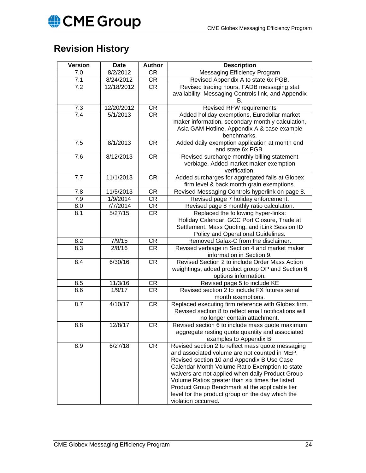# **Revision History**

| <b>Version</b>    | <b>Date</b> | <b>Author</b>          | <b>Description</b>                                                                                                                                                                                                                                                                                                                                                                                                                     |
|-------------------|-------------|------------------------|----------------------------------------------------------------------------------------------------------------------------------------------------------------------------------------------------------------------------------------------------------------------------------------------------------------------------------------------------------------------------------------------------------------------------------------|
| 7.0               | 8/2/2012    | <b>CR</b>              | Messaging Efficiency Program                                                                                                                                                                                                                                                                                                                                                                                                           |
| 7.1               | 8/24/2012   | CR                     | Revised Appendix A to state 6x PGB.                                                                                                                                                                                                                                                                                                                                                                                                    |
| $\overline{7.2}$  | 12/18/2012  | <b>CR</b>              | Revised trading hours, FADB messaging stat<br>availability, Messaging Controls link, and Appendix                                                                                                                                                                                                                                                                                                                                      |
| $\frac{7.3}{7.4}$ | 12/20/2012  | CR                     | <b>Revised RFW requirements</b>                                                                                                                                                                                                                                                                                                                                                                                                        |
|                   | 5/1/2013    | $\overline{\text{CR}}$ | Added holiday exemptions, Eurodollar market<br>maker information, secondary monthly calculation,<br>Asia GAM Hotline, Appendix A & case example<br>benchmarks.                                                                                                                                                                                                                                                                         |
| 7.5               | 8/1/2013    | <b>CR</b>              | Added daily exemption application at month end<br>and state 6x PGB.                                                                                                                                                                                                                                                                                                                                                                    |
| 7.6               | 8/12/2013   | CR                     | Revised surcharge monthly billing statement<br>verbiage. Added market maker exemption<br>verification.                                                                                                                                                                                                                                                                                                                                 |
| 7.7               | 11/1/2013   | <b>CR</b>              | Added surcharges for aggregated fails at Globex<br>firm level & back month grain exemptions.                                                                                                                                                                                                                                                                                                                                           |
| 7.8               | 11/5/2013   | <b>CR</b>              | Revised Messaging Controls hyperlink on page 8.                                                                                                                                                                                                                                                                                                                                                                                        |
| 7.9               | 1/9/2014    | CR                     | Revised page 7 holiday enforcement.                                                                                                                                                                                                                                                                                                                                                                                                    |
| 8.0               | 7/7/2014    | CR                     | Revised page 8 monthly ratio calculation.                                                                                                                                                                                                                                                                                                                                                                                              |
| 8.1               | 5/27/15     | <b>CR</b>              | Replaced the following hyper-links:<br>Holiday Calendar, GCC Port Closure, Trade at<br>Settlement, Mass Quoting, and iLink Session ID<br>Policy and Operational Guidelines.                                                                                                                                                                                                                                                            |
| 8.2               | 7/9/15      | CR                     | Removed Galax-C from the disclaimer.                                                                                                                                                                                                                                                                                                                                                                                                   |
| 8.3               | 2/8/16      | <b>CR</b>              | Revised verbiage in Section 4 and market maker<br>information in Section 9.                                                                                                                                                                                                                                                                                                                                                            |
| 8.4               | 6/30/16     | CR                     | Revised Section 2 to include Order Mass Action<br>weightings, added product group OP and Section 6<br>options information.                                                                                                                                                                                                                                                                                                             |
| 8.5               | 11/3/16     | CR                     | Revised page 5 to include KE                                                                                                                                                                                                                                                                                                                                                                                                           |
| 8.6               | 1/9/17      | $\overline{\text{CR}}$ | Revised section 2 to include FX futures serial<br>month exemptions.                                                                                                                                                                                                                                                                                                                                                                    |
| 8.7               | 4/10/17     | CR                     | Replaced executing firm reference with Globex firm.<br>Revised section 8 to reflect email notifications will<br>no longer contain attachment.                                                                                                                                                                                                                                                                                          |
| 8.8               | 12/8/17     | <b>CR</b>              | Revised section 6 to include mass quote maximum<br>aggregate resting quote quantity and associated<br>examples to Appendix B.                                                                                                                                                                                                                                                                                                          |
| 8.9               | 6/27/18     | <b>CR</b>              | Revised section 2 to reflect mass quote messaging<br>and associated volume are not counted in MEP.<br>Revised section 10 and Appendix B Use Case<br>Calendar Month Volume Ratio Exemption to state<br>waivers are not applied when daily Product Group<br>Volume Ratios greater than six times the listed<br>Product Group Benchmark at the applicable tier<br>level for the product group on the day which the<br>violation occurred. |